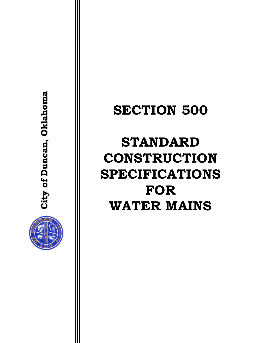

**City of Duncan, Oklahoma**

City of Duncan, Oklahoma

# **SECTION 500**

# **STANDARD CONSTRUCTION SPECIFICATIONS FOR WATER MAINS**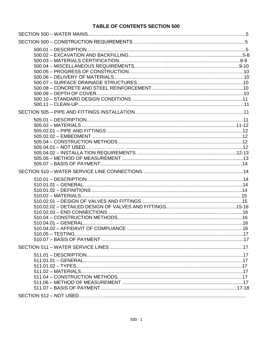# **TABLE OF CONTENTS SECTION 500**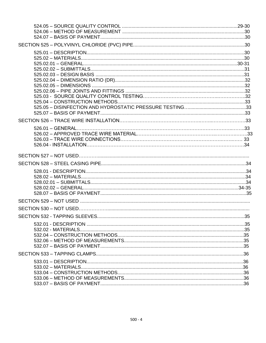| SECTION 532 - TAPPING SI FEVES | .35 |
|--------------------------------|-----|
|                                |     |
|                                |     |
|                                |     |
|                                |     |
|                                |     |
|                                |     |
|                                |     |
|                                |     |
|                                |     |
|                                |     |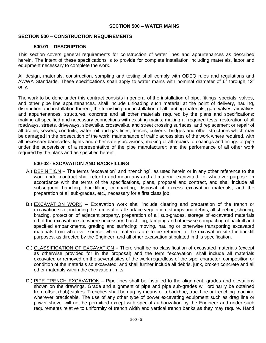## **SECTION 500 – WATER MAINS**

## **SECTION 500 – CONSTRUCTION REQUIREMENTS**

#### **500.01 – DESCRIPTION**

This section covers general requirements for construction of water lines and appurtenances as described herein. The intent of these specifications is to provide for complete installation including materials, labor and equipment necessary to complete the work.

All design, materials, construction, sampling and testing shall comply with ODEQ rules and regulations and AWWA Standards. These specifications shall apply to water mains with nominal diameter of 6" through 12" only.

The work to be done under this contract consists in general of the installation of pipe, fittings, specials, valves, and other pipe line appurtenances, shall include unloading such material at the point of delivery, hauling, distribution and installation thereof; the furnishing and installation of all jointing materials, gate valves, air valves and appurtenances, structures, concrete and all other materials required by the plans and specifications; making all specified and necessary connections with existing mains; making all required tests; restoration of all roadways, streets, driveways, sidewalks, crosswalks, and street crossing surfaces, and replacement or repair of all drains, sewers, conduits, water, oil and gas lines, fences, culverts, bridges and other structures which may be damaged in the prosecution of the work; maintenance of traffic across sites of the work where required, with all necessary barricades, lights and other safety provisions; making of all repairs to coatings and linings of pipe under the supervision of a representative of the pipe manufacturer; and the performance of all other work required by the plans and as specified herein.

#### **500-02 - EXCAVATION AND BACKFILLING**

- A.) DEFINITION The terms "excavation" and "trenching", as used herein or in any other reference to the work under contract shall refer to and mean any and all material excavated, for whatever purpose, in accordance with the terms of the specifications, plans, proposal and contract, and shall include all subsequent handling, backfilling, compacting, disposal of excess excavation materials, and the preparation of all sub-grades, etc., necessary for a first class job.
- B.) EXCAVATION WORK Excavation work shall include clearing and preparation of the trench or excavation size, including the removal of all surface vegetation, stumps and debris; all sheeting, shoring, bracing, protection of adjacent property, preparation of all sub-grades, storage of excavated materials off of the excavation site where necessary, backfilling, tamping and otherwise compacting of backfill and specified embankments, grading and surfacing; moving, hauling or otherwise transporting excavated materials from whatever source, where materials are to be returned to the excavation site for backfill purposes, as directed by the Engineer; and all other excavation stipulated in this specification.
- C.) CLASSIFICATION OF EXCAVATION There shall be no classification of excavated materials (except as otherwise provided for in the proposal) and the term "excavation" shall include all materials excavated or removed on the several sites of the work regardless of the type, character, composition or condition of the materials so excavated; and shall further include all debris, junk, broken concrete and all other materials within the excavation limits.
- D.) PIPE TRENCH EXCAVATION Pipe lines shall be installed to the alignment, grades and elevations shown on the drawings. Grade and alignment of pipe and pipe sub-grades will ordinarily be obtained from offset (hub) stakes. Trenches shall be dug by means of a backhoe, trackhoe or trenching machine wherever practicable. The use of any other type of power excavating equipment such as drag line or power shovel will not be permitted except with special authorization by the Engineer and under such requirements relative to uniformity of trench width and vertical trench banks as they may require. Hand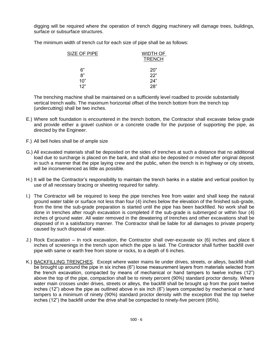digging will be required where the operation of trench digging machinery will damage trees, buildings, surface or subsurface structures.

The minimum width of trench cut for each size of pipe shall be as follows:

| SIZE OF PIPE | <b>WIDTH OF</b> |
|--------------|-----------------|
|              | <b>TRENCH</b>   |
| 6"           | 20"             |
| 8"           | 22"             |
| 10"          | 24"             |
| 12"          | 28"             |

The trenching machine shall be maintained on a sufficiently level roadbed to provide substantially vertical trench walls. The maximum horizontal offset of the trench bottom from the trench top (undercutting) shall be two inches.

- E.) Where soft foundation is encountered in the trench bottom, the Contractor shall excavate below grade and provide either a gravel cushion or a concrete cradle for the purpose of supporting the pipe, as directed by the Engineer.
- F.) All bell holes shall be of ample size
- G.) All excavated materials shall be deposited on the sides of trenches at such a distance that no additional load due to surcharge is placed on the bank, and shall also be deposited or moved after original deposit in such a manner that the pipe laying crew and the public, when the trench is in highway or city streets, will be inconvenienced as little as possible.
- H.) It will be the Contractor's responsibility to maintain the trench banks in a stable and vertical position by use of all necessary bracing or sheeting required for safety.
- I.) The Contractor will be required to keep the pipe trenches free from water and shall keep the natural ground water table or surface not less than four (4) inches below the elevation of the finished sub-grade, from the time the sub-grade preparation is started until the pipe has been backfilled. No work shall be done in trenches after rough excavation is completed if the sub-grade is submerged or within four (4) inches of ground water. All water removed in the dewatering of trenches and other excavations shall be disposed of in a satisfactory manner. The Contractor shall be liable for all damages to private property caused by such disposal of water.
- J.) Rock Excavation In rock excavation, the Contractor shall over-excavate six (6) inches and place 6 inches of screenings in the trench upon which the pipe is laid. The Contractor shall further backfill over pipe with same or earth free from stone or rocks, to a depth of 6 inches.
- K.) BACKFILLING TRENCHES. Except where water mains lie under drives, streets, or alleys, backfill shall be brought up around the pipe in six inches (6") loose measurement layers from materials selected from the trench excavation, compacted by means of mechanical or hand tampers to twelve inches (12") above the top of the pipe, compaction shall be to ninety percent (90%) standard proctor density. Where water main crosses under drives, streets or alleys, the backfill shall be brought up from the point twelve inches (12") above the pipe as outlined above in six inch (6") layers compacted by mechanical or hand tampers to a minimum of ninety (90%) standard proctor density with the exception that the top twelve inches (12") the backfill under the drive shall be compacted to ninety-five percent (95%).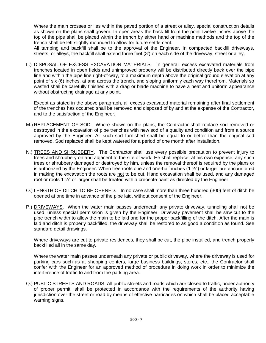Where the main crosses or lies within the paved portion of a street or alley, special construction details as shown on the plans shall govern. In open areas the back fill from the point twelve inches above the top of the pipe shall be placed within the trench by either hand or machine methods and the top of the trench shall be left slightly mounded to allow for future settlement.

All tamping and backfill shall be to the approval of the Engineer. In compacted backfill driveways, streets, or alleys, the backfill shall extend three feet (3') on each side of the driveway, street or alley.

L.) DISPOSAL OF EXCESS EXCAVATION MATERIALS. In general, excess excavated materials from trenches located in open fields and unimproved property will be distributed directly back over the pipe line and within the pipe line right-of-way, to a maximum depth above the original ground elevation at any point of six (6) inches, at and across the trench, and sloping uniformly each way therefrom. Materials so wasted shall be carefully finished with a drag or blade machine to have a neat and uniform appearance without obstructing drainage at any point.

Except as stated in the above paragraph, all excess excavated material remaining after final settlement of the trenches has occurred shall be removed and disposed of by and at the expense of the Contractor, and to the satisfaction of the Engineer.

- M.) REPLACEMENT OF SOD. Where shown on the plans, the Contractor shall replace sod removed or destroyed in the excavation of pipe trenches with new sod of a quality and condition and from a source approved by the Engineer. All such sod furnished shall be equal to or better than the original sod removed. Sod replaced shall be kept watered for a period of one month after installation.
- N.) TREES AND SHRUBBERY. The Contractor shall use every possible precaution to prevent injury to trees and shrubbery on and adjacent to the site of work. He shall replace, at his own expense, any such trees or shrubbery damaged or destroyed by him, unless the removal thereof is required by the plans or is authorized by the Engineer. When tree roots one and one-half inches  $(1 \frac{1}{2})$  or larger are encountered in making the excavation the roots are not to be cut. Hand excavation shall be used, and any damaged root or roots 1  $\frac{1}{2}$ " or larger shall be treated with a creosote paint as directed by the Engineer.
- O.) LENGTH OF DITCH TO BE OPENED. In no case shall more than three hundred (300) feet of ditch be opened at one time in advance of the pipe laid, without consent of the Engineer.
- P.) DRIVEWAYS. When the water main passes underneath any private driveway, tunneling shall not be used, unless special permission is given by the Engineer. Driveway pavement shall be saw cut to the pipe trench width to allow the main to be laid and for the proper backfilling of the ditch. After the main is laid and ditch is properly backfilled, the driveway shall be restored to as good a condition as found. See standard detail drawings.

Where driveways are cut to private residences, they shall be cut, the pipe installed, and trench properly backfilled all in the same day.

Where the water main passes underneath any private or public driveway, where the driveway is used for parking cars such as at shopping centers, large business buildings, stores, etc., the Contractor shall confer with the Engineer for an approved method of procedure in doing work in order to minimize the interference of traffic to and from the parking area.

Q.) PUBLIC STREETS AND ROADS. All public streets and roads which are closed to traffic, under authority of proper permit, shall be protected in accordance with the requirements of the authority having jurisdiction over the street or road by means of effective barricades on which shall be placed acceptable warning signs.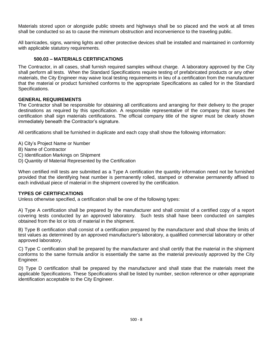Materials stored upon or alongside public streets and highways shall be so placed and the work at all times shall be conducted so as to cause the minimum obstruction and inconvenience to the traveling public.

All barricades, signs, warning lights and other protective devices shall be installed and maintained in conformity with applicable statutory requirements.

# **500.03 – MATERIALS CERTIFICATIONS**

The Contractor, in all cases, shall furnish required samples without charge. A laboratory approved by the City shall perform all tests. When the Standard Specifications require testing of prefabricated products or any other materials, the City Engineer may waive local testing requirements in lieu of a certification from the manufacturer that the material or product furnished conforms to the appropriate Specifications as called for in the Standard Specifications.

# **GENERAL REQUIREMENTS**

The Contractor shall be responsible for obtaining all certifications and arranging for their delivery to the proper destinations as required by this specification. A responsible representative of the company that issues the certification shall sign materials certifications. The official company title of the signer must be clearly shown immediately beneath the Contractor's signature.

All certifications shall be furnished in duplicate and each copy shall show the following information:

- A) City's Project Name or Number
- B) Name of Contractor
- C) Identification Markings on Shipment
- D) Quantity of Material Represented by the Certification

When certified mill tests are submitted as a Type A certification the quantity information need not be furnished provided that the identifying heat number is permanently rolled, stamped or otherwise permanently affixed to each individual piece of material in the shipment covered by the certification.

# **TYPES OF CERTIFICATIONS**

Unless otherwise specified, a certification shall be one of the following types:

A) Type A certification shall be prepared by the manufacturer and shall consist of a certified copy of a report covering tests conducted by an approved laboratory. Such tests shall have been conducted on samples obtained from the lot or lots of material in the shipment.

B) Type B certification shall consist of a certification prepared by the manufacturer and shall show the limits of test values as determined by an approved manufacturer's laboratory, a qualified commercial laboratory or other approved laboratory.

C) Type C certification shall be prepared by the manufacturer and shall certify that the material in the shipment conforms to the same formula and/or is essentially the same as the material previously approved by the City Engineer.

D) Type D certification shall be prepared by the manufacturer and shall state that the materials meet the applicable Specifications. These Specifications shall be listed by number, section reference or other appropriate identification acceptable to the City Engineer.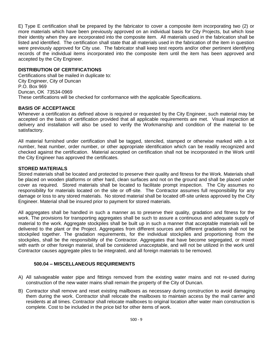E) Type E certification shall be prepared by the fabricator to cover a composite item incorporating two (2) or more materials which have been previously approved on an individual basis for City Projects, but which lose their identity when they are incorporated into the composite item. All materials used in the fabrication shall be listed and identified. The certification shall state that all materials used in the fabrication of the item in question were previously approved for City use. The fabricator shall keep test reports and/or other pertinent identifying records of the individual items incorporated into the composite item until the item has been approved and accepted by the City Engineer.

# **DISTRIBUTION OF CERTIFICATIONS**

Certifications shall be mailed in duplicate to: City Engineer, City of Duncan P.O. Box 969 Duncan, OK 73534-0969 These certifications will be checked for conformance with the applicable Specifications.

# **BASIS OF ACCEPTANCE**

Whenever a certification as defined above is required or requested by the City Engineer, such material may be accepted on the basis of certification provided that all applicable requirements are met. Visual inspection at delivery and installation will also be used to verify the Workmanship and condition of the material to be satisfactory.

All material furnished under certification shall be tagged, stenciled, stamped or otherwise marked with a lot number, heat number, order number, or other appropriate identification which can be readily recognized and checked against the certification. Material accepted on certification shall not be incorporated in the Work until the City Engineer has approved the certificates.

# **STORED MATERIALS**

Stored materials shall be located and protected to preserve their quality and fitness for the Work. Materials shall be placed on wooden platforms or other hard, clean surfaces and not on the ground and shall be placed under cover as required. Stored materials shall be located to facilitate prompt inspection. The City assumes no responsibility for materials located on the site or off-site. The Contractor assumes full responsibility for any damage or loss to any stored materials. No stored material shall be located off-site unless approved by the City Engineer. Material shall be insured prior to payment for stored materials.

All aggregates shall be handled in such a manner as to preserve their quality, gradation and fitness for the work. The provisions for transporting aggregates shall be such to assure a continuous and adequate supply of material to the work. Aggregate stockpiles shall be built up in such a manner that acceptable materials will be delivered to the plant or the Project. Aggregates from different sources and different gradations shall not be stockpiled together. The gradation requirements, for the individual stockpiles and proportioning from the stockpiles, shall be the responsibility of the Contractor. Aggregates that have become segregated, or mixed with earth or other foreign material, shall be considered unacceptable, and will not be utilized in the work until Contractor causes aggregate piles to be integrated, and all foreign materials to be removed.

# **500.04 – MISCELLANEOUS REQUIREMENTS**

- A) All salvageable water pipe and fittings removed from the existing water mains and not re-used during construction of the new water mains shall remain the property of the City of Duncan.
- B) Contractor shall remove and reset existing mailboxes as necessary during construction to avoid damaging them during the work. Contractor shall relocate the mailboxes to maintain access by the mail carrier and residents at all times. Contractor shall relocate mailboxes to original location after water main construction is complete. Cost to be included in the price bid for other items of work.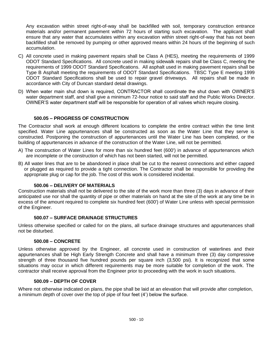Any excavation within street right-of-way shall be backfilled with soil, temporary construction entrance materials and/or permanent pavement within 72 hours of starting such excavation. The applicant shall ensure that any water that accumulates within any excavation within street right-of-way that has not been backfilled shall be removed by pumping or other approved means within 24 hours of the beginning of such accumulation.

- C) All concrete used in making pavement repairs shall be Class A (HES), meeting the requirements of 1999 ODOT Standard Specifications. All concrete used in making sidewalk repairs shall be Class C, meeting the requirements of 1999 ODOT Standard Specifications. All asphalt used in making pavement repairs shall be Type B Asphalt meeting the requirements of ODOT Standard Specifications. TBSC Type E meeting 1999 ODOT Standard Specifications shall be used to repair gravel driveways. All repairs shall be made in accordance with City of Duncan standard detail drawings.
- D) When water main shut down is required, CONTRACTOR shall coordinate the shut down with OWNER'S water department staff, and shall give a minimum 72-hour notice to said staff and the Public Works Director. OWNER'S water department staff will be responsible for operation of all valves which require closing.

# **500.05 – PROGRESS OF CONSTRUCTION**

The Contractor shall work at enough different locations to complete the entire contract within the time limit specified. Water Line appurtenances shall be constructed as soon as the Water Line that they serve is constructed. Postponing the construction of appurtenances until the Water Line has been completed, or the building of appurtenances in advance of the construction of the Water Line, will not be permitted.

- A) The construction of Water Lines for more than six hundred feet (600') in advance of appurtenances which are incomplete or the construction of which has not been started, will not be permitted.
- B) All water lines that are to be abandoned in place shall be cut to the nearest connections and either capped or plugged as required to provide a tight connection. The Contractor shall be responsible for providing the appropriate plug or cap for the job. The cost of this work is considered incidental.

# **500.06 – DELIVERY OF MATERIALS**

Construction materials shall not be delivered to the site of the work more than three (3) days in advance of their anticipated use nor shall the quantity of pipe or other materials on hand at the site of the work at any time be in excess of the amount required to complete six hundred feet (600') of Water Line unless with special permission of the Engineer.

#### **500.07 – SURFACE DRAINAGE STRUCTURES**

Unless otherwise specified or called for on the plans, all surface drainage structures and appurtenances shall not be disturbed.

#### **500.08 – CONCRETE**

Unless otherwise approved by the Engineer, all concrete used in construction of waterlines and their appurtenances shall be High Early Strength Concrete and shall have a minimum three (3) day compressive strength of three thousand five hundred pounds per square inch (3,500 psi). It is recognized that some situations may occur in which different requirements may be more suitable for completion of the work. The contractor shall receive approval from the Engineer prior to proceeding with the work in such situations.

# **500.09 – DEPTH OF COVER**

Where not otherwise indicated on plans, the pipe shall be laid at an elevation that will provide after completion, a minimum depth of cover over the top of pipe of four feet (4') below the surface.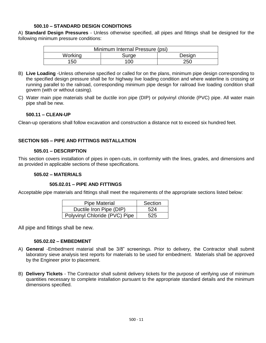# **500.10 – STANDARD DESIGN CONDITIONS**

A) **Standard Design Pressures** - Unless otherwise specified, all pipes and fittings shall be designed for the following minimum pressure conditions:

|         | Minimum Internal Pressure (psi) |        |
|---------|---------------------------------|--------|
| Working | Surge                           | Design |
| 150     | 100                             | 250    |

- B) **Live Loading** -Unless otherwise specified or called for on the plans, minimum pipe design corresponding to the specified design pressure shall be for highway live loading condition and where waterline is crossing or running parallel to the railroad, corresponding minimum pipe design for railroad live loading condition shall govern (with or without casing).
- C) Water main pipe materials shall be ductile iron pipe (DIP) or polyvinyl chloride (PVC) pipe. All water main pipe shall be new.

# **500.11 – CLEAN-UP**

Clean-up operations shall follow excavation and construction a distance not to exceed six hundred feet.

# **SECTION 505 – PIPE AND FITTINGS INSTALLATION**

#### **505.01 – DESCRIPTION**

This section covers installation of pipes in open-cuts, in conformity with the lines, grades, and dimensions and as provided in applicable sections of these specifications.

#### **505.02 – MATERIALS**

#### **505.02.01 – PIPE AND FITTINGS**

Acceptable pipe materials and fittings shall meet the requirements of the appropriate sections listed below:

| <b>Pipe Material</b>          | Section |
|-------------------------------|---------|
| Ductile Iron Pipe (DIP)       | 524     |
| Polyvinyl Chloride (PVC) Pipe | 525     |

All pipe and fittings shall be new.

#### **505.02.02 – EMBEDMENT**

- A) **General** -Embedment material shall be 3/8" screenings. Prior to delivery, the Contractor shall submit laboratory sieve analysis test reports for materials to be used for embedment. Materials shall be approved by the Engineer prior to placement.
- B) **Delivery Tickets** The Contractor shall submit delivery tickets for the purpose of verifying use of minimum quantities necessary to complete installation pursuant to the appropriate standard details and the minimum dimensions specified.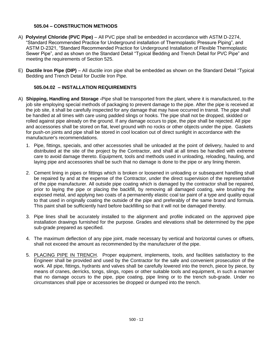# **505.04 – CONSTRUCTION METHODS**

- A) **Polyvinyl Chloride (PVC Pipe)** All PVC pipe shall be embedded in accordance with ASTM D-2274, "Standard Recommended Practice for Underground installation of Thermoplastic Pressure Piping", and ASTM D-2321, "Standard Recommended Practice for Underground Installation of Flexible Thermoplastic Sewer Pipe", and as shown on the Standard Detail "Typical Bedding and Trench Detail for PVC Pipe" and meeting the requirements of Section 525.
- E) **Ductile Iron Pipe (DIP)**  All ductile iron pipe shall be embedded as shown on the Standard Detail "Typical Bedding and Trench Detail for Ductile Iron Pipe.

# **505.04.02 – INSTALLATION REQUIREMENTS**

- A) **Shipping, Handling and Storage -**Pipe shall be transported from the plant, where it is manufactured, to the job site employing special methods of packaging to prevent damage to the pipe. After the pipe is received at the job site, it shall be carefully inspected for any damage that may have occurred in transit. The pipe shall be handled at all times with care using padded slings or hooks. The pipe shall not be dropped, skidded or rolled against pipe already on the ground. If any damage occurs to pipe, the pipe shall be rejected. All pipe and accessories shall be stored on flat, level ground with no rocks or other objects under the pipe. Gaskets for push-on joints and pipe shall be stored in cool location out of direct sunlight in accordance with the manufacturer's recommendations.
	- 1. Pipe, fittings, specials, and other accessories shall be unloaded at the point of delivery, hauled to and distributed at the site of the project by the Contractor, and shall at all times be handled with extreme care to avoid damage thereto. Equipment, tools and methods used in unloading, reloading, hauling, and laying pipe and accessories shall be such that no damage is done to the pipe or any lining therein.
	- 2. Cement lining in pipes or fittings which is broken or loosened in unloading or subsequent handling shall be repaired by and at the expense of the Contractor, under the direct supervision of the representative of the pipe manufacturer. All outside pipe coating which is damaged by the contractor shall be repaired, prior to laying the pipe or placing the backfill, by removing all damaged coating, wire brushing the exposed metal, and applying two coats of a permanently elastic coal tar paint of a type and quality equal to that used in originally coating the outside of the pipe and preferably of the same brand and formula. This paint shall be sufficiently hard before backfilling so that it will not be damaged thereby.
	- 3. Pipe lines shall be accurately installed to the alignment and profile indicated on the approved pipe installation drawings furnished for the purpose. Grades and elevations shall be determined by the pipe sub-grade prepared as specified.
	- 4. The maximum deflection of any pipe joint, made necessary by vertical and horizontal curves or offsets, shall not exceed the amount as recommended by the manufacturer of the pipe.
	- 5. PLACING PIPE IN TRENCH. Proper equipment, implements, tools, and facilities satisfactory to the Engineer shall be provided and used by the Contractor for the safe and convenient prosecution of the work. All pipe, fittings, hydrants and valves shall be carefully lowered into the trench, piece by piece, by means of cranes, derricks, tongs, slings, ropes or other suitable tools and equipment, in such a manner that no damage occurs to the pipe, pipe coating, pipe lining or to the trench sub-grade. Under no circumstances shall pipe or accessories be dropped or dumped into the trench.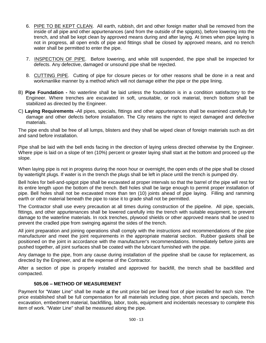- 6. PIPE TO BE KEPT CLEAN. All earth, rubbish, dirt and other foreign matter shall be removed from the inside of all pipe and other appurtenances (and from the outside of the spigots), before lowering into the trench, and shall be kept clean by approved means during and after laying. At times when pipe laying is not in progress, all open ends of pipe and fittings shall be closed by approved means, and no trench water shall be permitted to enter the pipe.
- 7. INSPECTION OF PIPE. Before lowering, and while still suspended, the pipe shall be inspected for defects. Any defective, damaged or unsound pipe shall be rejected.
- 8. CUTTING PIPE. Cutting of pipe for closure pieces or for other reasons shall be done in a neat and workmanlike manner by a method which will not damage either the pipe or the pipe lining.
- B) **Pipe Foundation -** No waterline shall be laid unless the foundation is in a condition satisfactory to the Engineer. Where trenches are excavated in soft, unsuitable, or rock material, trench bottom shall be stabilized as directed by the Engineer.
- C) **Laying Requirements -**All pipes, specials, fittings and other appurtenances shall be examined carefully for damage and other defects before installation. The City retains the right to reject damaged and defective materials.

The pipe ends shall be free of all lumps, blisters and they shall be wiped clean of foreign materials such as dirt and sand before installation.

Pipe shall be laid with the bell ends facing in the direction of laying unless directed otherwise by the Engineer. Where pipe is laid on a slope of ten (10%) percent or greater laying shall start at the bottom and proceed up the slope.

When laying pipe is not in progress during the noon hour or overnight, the open ends of the pipe shall be closed by watertight plugs. If water is in the trench the plugs shall be left in place until the trench is pumped dry.

Bell holes for bell-and-spigot pipe shall be excavated at proper intervals so that the barrel of the pipe will rest for its entire length upon the bottom of the trench. Bell holes shall be large enough to permit proper installation of pipe. Bell holes shall not be excavated more than ten (10) joints ahead of pipe laying. Filling and ramming earth or other material beneath the pipe to raise it to grade shall not be permitted.

The Contractor shall use every precaution at all times during construction of the pipeline. All pipe, specials, fittings, and other appurtenances shall be lowered carefully into the trench with suitable equipment, to prevent damage to the waterline materials. In rock trenches, plywood shields or other approved means shall be used to prevent the cradled pipe from swinging against the sides of the trench.

All joint preparation and joining operations shall comply with the instructions and recommendations of the pipe manufacturer and meet the joint requirements in the appropriate material section. Rubber gaskets shall be positioned on the joint in accordance with the manufacturer's recommendations. Immediately before joints are pushed together, all joint surfaces shall be coated with the lubricant furnished with the pipe.

Any damage to the pipe, from any cause during installation of the pipeline shall be cause for replacement, as directed by the Engineer, and at the expense of the Contractor.

After a section of pipe is properly installed and approved for backfill, the trench shall be backfilled and compacted.

# **505.06 – METHOD OF MEASUREMENT**

Payment for "Water Line" shall be made at the unit price bid per lineal foot of pipe installed for each size. The price established shall be full compensation for all materials including pipe, short pieces and specials, trench excavation, embedment material, backfilling, labor, tools, equipment and incidentals necessary to complete this item of work. "Water Line" shall be measured along the pipe.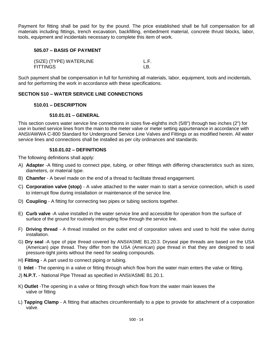Payment for fitting shall be paid for by the pound. The price established shall be full compensation for all materials including fittings, trench excavation, backfilling, embedment material, concrete thrust blocks, labor, tools, equipment and incidentals necessary to complete this item of work.

# **505.07 – BASIS OF PAYMENT**

| (SIZE) (TYPE) WATERLINE |     |
|-------------------------|-----|
| <b>FITTINGS</b>         | I B |

Such payment shall be compensation in full for furnishing all materials, labor, equipment, tools and incidentals, and for performing the work in accordance with these specifications.

# **SECTION 510 – WATER SERVICE LINE CONNECTIONS**

# **510.01 – DESCRIPTION**

#### **510.01.01 – GENERAL**

This section covers water service line connections in sizes five-eighths inch (5/8") through two inches (2") for use in buried service lines from the main to the meter valve or meter setting appurtenance in accordance with ANSI/AWWA C-800 Standard for Underground Service Line Valves and Fittings or as modified herein. All water service lines and connections shall be installed as per city ordinances and standards.

# **510.01.02 – DEFINITIONS**

The following definitions shall apply:

- A) **Adapter** -A fitting used to connect pipe, tubing, or other fittings with differing characteristics such as sizes, diameters, or material type.
- B) **Chamfer**  A bevel made on the end of a thread to facilitate thread engagement.
- C) **Corporation valve (stop)**  A valve attached to the water main to start a service connection, which is used to interrupt flow during installation or maintenance of the service line.
- D) **Coupling**  A fitting for connecting two pipes or tubing sections together.
- E) **Curb valve** -A valve installed in the water service line and accessible for operation from the surface of surface of the ground for routinely interrupting flow through the service line.
- F) **Driving thread**  A thread installed on the outlet end of corporation valves and used to hold the valve during installation.
- G) **Dry seal** -A type of pipe thread covered by ANSI/ASME B1.20.3. Dryseal pipe threads are based on the USA (American) pipe thread. They differ from the USA (American) pipe thread in that they are designed to seal pressure-tight joints without the need for sealing compounds.
- H) **Fitting**  A part used to connect piping or tubing.
- I) **Inlet**  The opening in a valve or fitting through which flow from the water main enters the valve or fitting.
- J) **N.P.T.**  National Pipe Thread as specified in ANSI/ASME B1.20.1.
- K) **Outlet** -The opening in a valve or fitting through which flow from the water main leaves the valve or fitting
- L) **Tapping Clamp** A fitting that attaches circumferentially to a pipe to provide for attachment of a corporation valve.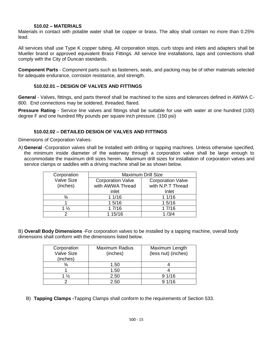## **510.02 – MATERIALS**

Materials in contact with potable water shall be copper or brass. The alloy shall contain no more than 0.25% lead.

All services shall use Type K copper tubing. All corporation stops, curb stops and inlets and adapters shall be Mueller brand or approved equivalent Brass Fittings. All service line installations, taps and connections shall comply with the City of Duncan standards.

**Component Parts** - Component parts such as fasteners, seals, and packing may be of other materials selected for adequate endurance, corrosion resistance, and strength.

# **510.02.01 – DESIGN OF VALVES AND FITTINGS**

**General** - Valves, fittings, and parts thereof shall be machined to the sizes and tolerances defined in AWWA C-800. End connections may be soldered, threaded, flared.

**Pressure Rating** - Service line valves and fittings shall be suitable for use with water at one hundred (100) degree F and one hundred fifty pounds per square inch pressure. (150 psi)

## **510.02.02 – DETAILED DESIGN OF VALVES AND FITTINGS**

Dimensions of Corporation Valves:

A) **General** -Corporation valves shall be installed with drilling or tapping machines. Unless otherwise specified, the minimum inside diameter of the waterway through a corporation valve shall be large enough to accommodate the maximum drill sizes herein. Maximum drill sizes for installation of corporation valves and service clamps or saddles with a driving machine shall be as shown below.

| Corporation       | <b>Maximum Drill Size</b> |                          |
|-------------------|---------------------------|--------------------------|
| <b>Valve Size</b> | <b>Corporation Valve</b>  | <b>Corporation Valve</b> |
| (inches)          | with AWWA Thread          | with N.P.T Thread        |
|                   | inlet                     | Inlet                    |
| $\frac{3}{4}$     | 11/16                     | 11/16                    |
|                   | 15/16                     | 15/16                    |
| $1\frac{1}{2}$    | 17/16                     | 17/16                    |
|                   | 1 15/16                   | 1/3/4                    |

B) **Overall Body Dimensions** -For corporation valves to be installed by a tapping machine, overall body dimensions shall conform with the dimensions listed below.

| Corporation       | <b>Maximum Radius</b> | Maximum Length      |
|-------------------|-----------------------|---------------------|
| <b>Valve Size</b> | (inches)              | (less nut) (inches) |
| (inches)          |                       |                     |
|                   | 1.50                  |                     |
|                   | 1.50                  |                     |
| $1\frac{1}{2}$    | 2.50                  | 91/16               |
|                   | 2.50                  | 91/16               |

B) **Tapping Clamps -**Tapping Clamps shall conform to the requirements of Section 533.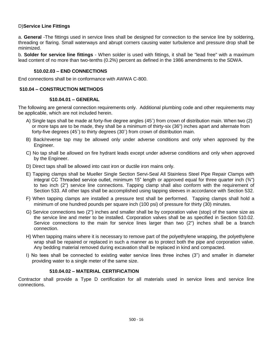# D)**Service Line Fittings**

a. **General** -The fittings used in service lines shall be designed for connection to the service line by soldering, threading or flaring. Small waterways and abrupt corners causing water turbulence and pressure drop shall be minimized.

b. **Solder for service line fittings** - When solder is used with fittings, it shall be "lead free" with a maximum lead content of no more than two-tenths (0.2%) percent as defined in the 1986 amendments to the SDWA.

## **510.02.03 – END CONNECTIONS**

End connections shall be in conformance with AWWA C-800.

# **510.04 – CONSTRUCTION METHODS**

#### **510.04.01 – GENERAL**

The following are general connection requirements only. Additional plumbing code and other requirements may be applicable, which are not included herein.

- A) Single taps shall be made at forty-five degree angles (45˚) from crown of distribution main. When two (2) or more taps are to be made, they shall be a minimum of thirty-six (36") inches apart and alternate from forty-five degrees (45˚) to thirty degrees (30˚) from crown of distribution main.
- B) Back/reverse tap may be allowed only under adverse conditions and only when approved by the Engineer.
- C) No tap shall be allowed on fire hydrant leads except under adverse conditions and only when approved by the Engineer.
- D) Direct taps shall be allowed into cast iron or ductile iron mains only.
- E) Tapping clamps shall be Mueller Single Section Servi-Seal All Stainless Steel Pipe Repair Clamps with integral CC Threaded service outlet, minimum 15" length or approved equal for three quarter inch (¾") to two inch (2") service line connections. Tapping clamp shall also conform with the requirement of Section 533. All other taps shall be accomplished using tapping sleeves in accordance with Section 532.
- F) When tapping clamps are installed a pressure test shall be performed. Tapping clamps shall hold a minimum of one hundred pounds per square inch (100 psi) of pressure for thirty (30) minutes.
- G) Service connections two (2") inches and smaller shall be by corporation valve (stop) of the same size as the service line and meter to be installed. Corporation valves shall be as specified in Section 510.02. Service connections to the main for service lines larger than two (2") inches shall be a branch connection.
- H) When tapping mains where it is necessary to remove part of the polyethylene wrapping, the polyethylene wrap shall be repaired or replaced in such a manner as to protect both the pipe and corporation valve. Any bedding material removed during excavation shall be replaced in kind and compacted.
- I) No tees shall be connected to existing water service lines three inches (3") and smaller in diameter providing water to a single meter of the same size.

# **510.04.02 – MATERIAL CERTIFICATION**

Contractor shall provide a Type D certification for all materials used in service lines and service line connections.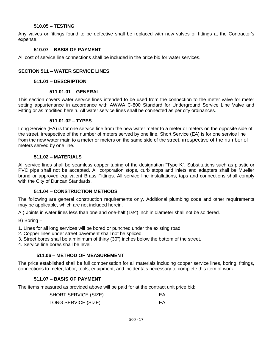#### **510.05 – TESTING**

Any valves or fittings found to be defective shall be replaced with new valves or fittings at the Contractor's expense.

## **510.07 – BASIS OF PAYMENT**

All cost of service line connections shall be included in the price bid for water services.

## **SECTION 511 – WATER SERVICE LINES**

#### **511.01 – DESCRIPTION**

#### **511.01.01 – GENERAL**

This section covers water service lines intended to be used from the connection to the meter valve for meter setting appurtenance in accordance with AWWA C-800 Standard for Underground Service Line Valve and Fitting or as modified herein. All water service lines shall be connected as per city ordinances.

#### **511.01.02 – TYPES**

Long Service (EA) is for one service line from the new water meter to a meter or meters on the opposite side of the street, irrespective of the number of meters served by one line. Short Service (EA) is for one service line from the new water main to a meter or meters on the same side of the street, irrespective of the number of meters served by one line.

#### **511.02 – MATERIALS**

All service lines shall be seamless copper tubing of the designation "Type K". Substitutions such as plastic or PVC pipe shall not be accepted. All corporation stops, curb stops and inlets and adapters shall be Mueller brand or approved equivalent Brass Fittings. All service line installations, taps and connections shall comply with the City of Duncan Standards.

# **511.04 – CONSTRUCTION METHODS**

The following are general construction requirements only. Additional plumbing code and other requirements may be applicable, which are not included herein.

A.) Joints in water lines less than one and one-half (1½") inch in diameter shall not be soldered.

B) Boring –

- 1. Lines for all long services will be bored or punched under the existing road.
- 2. Copper lines under street pavement shall not be spliced.
- 3. Street bores shall be a minimum of thirty (30") inches below the bottom of the street.
- 4. Service line bores shall be level.

# **511.06 – METHOD OF MEASUREMENT**

The price established shall be full compensation for all materials including copper service lines, boring, fittings, connections to meter, labor, tools, equipment, and incidentals necessary to complete this item of work.

# **511.07 – BASIS OF PAYMENT**

The items measured as provided above will be paid for at the contract unit price bid:

| <b>SHORT SERVICE (SIZE)</b> | EA. |
|-----------------------------|-----|
| LONG SERVICE (SIZE)         | EA. |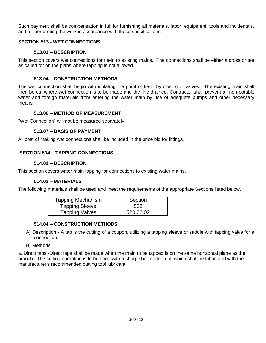Such payment shall be compensation in full for furnishing all materials, labor, equipment, tools and incidentals, and for performing the work in accordance with these specifications.

# **SECTION 513 - WET CONNECTIONS**

# **513.01 – DESCRIPTION**

This section covers wet connections for tie-in to existing mains. The connections shall be either a cross or tee as called for on the plans where tapping is not allowed.

# **513.04 – CONSTRUCTION METHODS**

The wet connection shall begin with isolating the point of tie-in by closing of valves. The existing main shall then be cut where wet connection is to be made and the line drained. Contractor shall prevent all non-potable water and foreign materials from entering the water main by use of adequate pumps and other necessary means.

# **513.06 – METHOD OF MEASUREMENT**

"Wet Connection" will not be measured separately.

# **513.07 – BASIS OF PAYMENT**

All cost of making wet connections shall be included in the price bid for fittings.

# **SECTION 514 – TAPPING CONNECTIONS**

# **514.01 – DESCRIPTION**

This section covers water main tapping for connections to existing water mains.

# **514.02 – MATERIALS**

The following materials shall be used and meet the requirements of the appropriate Sections listed below.

| <b>Tapping Mechanism</b> | Section   |
|--------------------------|-----------|
| <b>Tapping Sleeve</b>    | 532       |
| <b>Tapping Valves</b>    | 520.02.02 |

# **514.04 – CONSTRUCTION METHODS**

- A) Description A tap is the cutting of a coupon, utilizing a tapping sleeve or saddle with tapping valve for a connection.
- B) Methods

a. Direct taps -Direct taps shall be made when the main to be tapped is on the same horizontal plane as the branch. The cutting operation is to be done with a sharp shell-cutter tool, which shall be lubricated with the manufacturer's recommended cutting tool lubricant.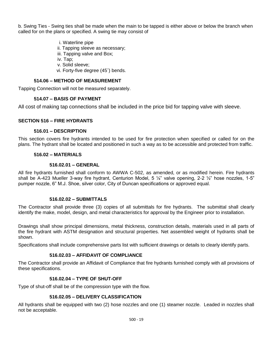b. Swing Ties - Swing ties shall be made when the main to be tapped is either above or below the branch when called for on the plans or specified. A swing tie may consist of

- i. Waterline pipe
- ii. Tapping sleeve as necessary;
- iii. Tapping valve and Box;
- iv. Tap;
- v. Solid sleeve;
- vi. Forty-five degree (45˚) bends.

# **514.06 – METHOD OF MEASUREMENT**

Tapping Connection will not be measured separately.

# **514.07 – BASIS OF PAYMENT**

All cost of making tap connections shall be included in the price bid for tapping valve with sleeve.

# **SECTION 516 – FIRE HYDRANTS**

# **516.01 – DESCRIPTION**

This section covers fire hydrants intended to be used for fire protection when specified or called for on the plans. The hydrant shall be located and positioned in such a way as to be accessible and protected from traffic.

# **516.02 – MATERIALS**

# **516.02.01 – GENERAL**

All fire hydrants furnished shall conform to AWWA C-502, as amended, or as modified herein. Fire hydrants shall be A-423 Mueller 3-way fire hydrant, Centurion Model, 5 ¼" valve opening, 2-2 ½" hose nozzles, 1-5" pumper nozzle, 6" M.J. Shoe, silver color, City of Duncan specifications or approved equal.

# **516.02.02 – SUBMITTALS**

The Contractor shall provide three (3) copies of all submittals for fire hydrants. The submittal shall clearly identify the make, model, design, and metal characteristics for approval by the Engineer prior to installation.

Drawings shall show principal dimensions, metal thickness, construction details, materials used in all parts of the fire hydrant with ASTM designation and structural properties. Net assembled weight of hydrants shall be shown.

Specifications shall include comprehensive parts list with sufficient drawings or details to clearly identify parts.

# **516.02.03 – AFFIDAVIT OF COMPLIANCE**

The Contractor shall provide an Affidavit of Compliance that fire hydrants furnished comply with all provisions of these specifications.

# **516.02.04 – TYPE OF SHUT-OFF**

Type of shut-off shall be of the compression type with the flow.

# **516.02.05 – DELIVERY CLASSIFICATION**

All hydrants shall be equipped with two (2) hose nozzles and one (1) steamer nozzle. Leaded in nozzles shall not be acceptable.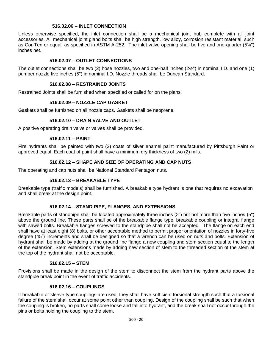# **516.02.06 – INLET CONNECTION**

Unless otherwise specified, the inlet connection shall be a mechanical joint hub complete with all joint accessories. All mechanical joint gland bolts shall be high strength, low alloy, corrosion resistant material, such as Cor-Ten or equal, as specified in ASTM A-252. The inlet valve opening shall be five and one-quarter (5¼") inches net.

# **516.02.07 – OUTLET CONNECTIONS**

The outlet connections shall be two (2) hose nozzles, two and one-half inches (2½") in nominal I.D. and one (1) pumper nozzle five inches (5") in nominal I.D. Nozzle threads shall be Duncan Standard.

## **516.02.08 – RESTRAINED JOINTS**

Restrained Joints shall be furnished when specified or called for on the plans.

# **516.02.09 – NOZZLE CAP GASKET**

Gaskets shall be furnished on all nozzle caps. Gaskets shall be neoprene.

# **516.02.10 – DRAIN VALVE AND OUTLET**

A positive operating drain valve or valves shall be provided.

#### **516.02.11 – PAINT**

Fire hydrants shall be painted with two (2) coats of silver enamel paint manufactured by Pittsburgh Paint or approved equal. Each coat of paint shall have a minimum dry thickness of two (2) mils.

# **516.02.12 – SHAPE AND SIZE OF OPERATING AND CAP NUTS**

The operating and cap nuts shall be National Standard Pentagon nuts.

# **516.02.13 – BREAKABLE TYPE**

Breakable type (traffic models) shall be furnished. A breakable type hydrant is one that requires no excavation and shall break at the design point.

# **516.02.14 – STAND PIPE, FLANGES, AND EXTENSIONS**

Breakable parts of standpipe shall be located approximately three inches (3") but not more than five inches (5") above the ground line. These parts shall be of the breakable flange type, breakable coupling or integral flange with sawed bolts. Breakable flanges screwed to the standpipe shall not be accepted. The flange on each end shall have at least eight (8) bolts, or other acceptable method to permit proper orientation of nozzles in forty-five degree (45˚) increments and shall be designed so that a wrench can be used on nuts and bolts. Extension of hydrant shall be made by adding at the ground line flange a new coupling and stem section equal to the length of the extension. Stem extensions made by adding new section of stem to the threaded section of the stem at the top of the hydrant shall not be acceptable.

#### **516.02.15 – STEM**

Provisions shall be made in the design of the stem to disconnect the stem from the hydrant parts above the standpipe break point in the event of traffic accidents.

#### **516.02.16 – COUPLINGS**

If breakable or sleeve type couplings are used, they shall have sufficient torsional strength such that a torsional failure of the stem shall occur at some point other than coupling. Design of the coupling shall be such that when the coupling is broken, no parts shall come loose and fall into hydrant, and the break shall not occur through the pins or bolts holding the coupling to the stem.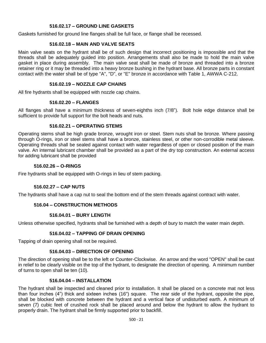# **516.02.17 – GROUND LINE GASKETS**

Gaskets furnished for ground line flanges shall be full face, or flange shall be recessed.

# **516.02.18 – MAIN AND VALVE SEATS**

Main valve seats on the hydrant shall be of such design that incorrect positioning is impossible and that the threads shall be adequately guided into position. Arrangements shall also be made to hold the main valve gasket in place during assembly. The main valve seat shall be made of bronze and threaded into a bronze retainer ring or it may be threaded into a heavy bronze bushing in the hydrant base. All bronze parts in constant contact with the water shall be of type "A", "D", or "E" bronze in accordance with Table 1, AWWA C-212.

## **516.02.19 – NOZZLE CAP CHAINS**

All fire hydrants shall be equipped with nozzle cap chains.

#### **516.02.20 – FLANGES**

All flanges shall have a minimum thickness of seven-eighths inch (7/8"). Bolt hole edge distance shall be sufficient to provide full support for the bolt heads and nuts.

#### **516.02.21 – OPERATING STEMS**

Operating stems shall be high grade bronze, wrought iron or steel. Stem nuts shall be bronze. Where passing through O-rings, iron or steel stems shall have a bronze, stainless steel, or other non-corrodible metal sleeve. Operating threads shall be sealed against contact with water regardless of open or closed position of the main valve. An internal lubricant chamber shall be provided as a part of the dry top construction. An external access for adding lubricant shall be provided

#### **516.02.26 – O-RINGS**

Fire hydrants shall be equipped with O-rings in lieu of stem packing.

# **516.02.27 – CAP NUTS**

The hydrants shall have a cap nut to seal the bottom end of the stem threads against contract with water.

# **516.04 – CONSTRUCTION METHODS**

# **516.04.01 – BURY LENGTH**

Unless otherwise specified, hydrants shall be furnished with a depth of bury to match the water main depth.

# **516.04.02 – TAPPING OF DRAIN OPENING**

Tapping of drain opening shall not be required.

# **516.04.03 – DIRECTION OF OPENING**

The direction of opening shall be to the left or Counter-Clockwise. An arrow and the word "OPEN" shall be cast in relief to be clearly visible on the top of the hydrant, to designate the direction of opening. A minimum number of turns to open shall be ten (10).

#### **516.04.04 – INSTALLATION**

The hydrant shall be inspected and cleaned prior to installation. It shall be placed on a concrete mat not less than four inches (4") thick and sixteen inches (16") square. The rear side of the hydrant, opposite the pipe, shall be blocked with concrete between the hydrant and a vertical face of undisturbed earth. A minimum of seven (7) cubic feet of crushed rock shall be placed around and below the hydrant to allow the hydrant to properly drain. The hydrant shall be firmly supported prior to backfill.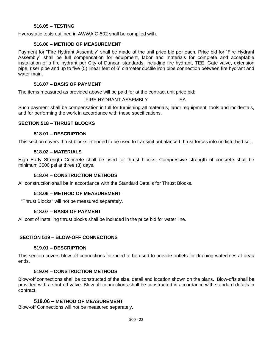# **516.05 – TESTING**

Hydrostatic tests outlined in AWWA C-502 shall be complied with.

## **516.06 – METHOD OF MEASUREMENT**

Payment for "Fire Hydrant Assembly" shall be made at the unit price bid per each. Price bid for "Fire Hydrant Assembly" shall be full compensation for equipment, labor and materials for complete and acceptable installation of a fire hydrant per City of Duncan standards, including fire hydrant, TEE, Gate valve, extension pipe, riser pipe and up to five (5) linear feet of 6" diameter ductile iron pipe connection between fire hydrant and water main.

# **516.07 – BASIS OF PAYMENT**

The items measured as provided above will be paid for at the contract unit price bid:

FIRE HYDRANT ASSEMBLY EA.

Such payment shall be compensation in full for furnishing all materials, labor, equipment, tools and incidentals, and for performing the work in accordance with these specifications.

#### **SECTION 518 – THRUST BLOCKS**

#### **518.01 – DESCRIPTION**

This section covers thrust blocks intended to be used to transmit unbalanced thrust forces into undisturbed soil.

#### **518.02 – MATERIALS**

High Early Strength Concrete shall be used for thrust blocks. Compressive strength of concrete shall be minimum 3500 psi at three (3) days.

# **518.04 – CONSTRUCTION METHODS**

All construction shall be in accordance with the Standard Details for Thrust Blocks.

#### **518.06 – METHOD OF MEASUREMENT**

"Thrust Blocks" will not be measured separately.

# **518.07 – BASIS OF PAYMENT**

All cost of installing thrust blocks shall be included in the price bid for water line.

# **SECTION 519 – BLOW-OFF CONNECTIONS**

#### **519.01 – DESCRIPTION**

This section covers blow-off connections intended to be used to provide outlets for draining waterlines at dead ends.

# **519.04 – CONSTRUCTION METHODS**

Blow-off connections shall be constructed of the size, detail and location shown on the plans. Blow-offs shall be provided with a shut-off valve. Blow off connections shall be constructed in accordance with standard details in contract.

# **519.06 – METHOD OF MEASUREMENT**

Blow-off Connections will not be measured separately.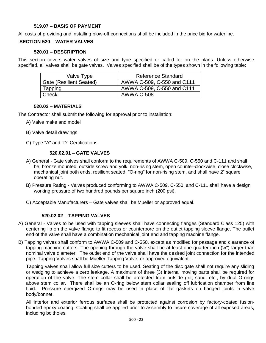# **519.07 – BASIS OF PAYMENT**

All costs of providing and installing blow-off connections shall be included in the price bid for waterline.

# **SECTION 520 – WATER VALVES**

#### **520.01 – DESCRIPTION**

This section covers water valves of size and type specified or called for on the plans. Unless otherwise specified, all valves shall be gate valves. Valves specified shall be of the types shown in the following table:

| Valve Type                     | Reference Standard         |
|--------------------------------|----------------------------|
| <b>Gate (Resilient Seated)</b> | AWWA C-509, C-550 and C111 |
| Tapping                        | AWWA C-509, C-550 and C111 |
| Check                          | <b>AWWA C-508</b>          |

#### **520.02 – MATERIALS**

The Contractor shall submit the following for approval prior to installation:

- A) Valve make and model
- B) Valve detail drawings
- C) Type "A" and "D" Certifications.

# **520.02.01 – GATE VALVES**

- A) General Gate valves shall conform to the requirements of AWWA C-509, C-550 and C-111 and shall be, bronze mounted, outside screw and yolk, non-rising stem, open counter-clockwise, close clockwise, mechanical joint both ends, resilient seated, "O-ring" for non-rising stem, and shall have 2" square operating nut.
- B) Pressure Rating Valves produced conforming to AWWA C-509, C-550, and C-111 shall have a design working pressure of two hundred pounds per square inch (200 psi).
- C) Acceptable Manufacturers Gate valves shall be Mueller or approved equal.

# **520.02.02 – TAPPING VALVES**

- A) General Valves to be used with tapping sleeves shall have connecting flanges (Standard Class 125) with centering lip on the valve flange to fit recess or counterbore on the outlet tapping sleeve flange. The outlet end of the valve shall have a combination mechanical joint end and tapping machine flange.
- B) Tapping valves shall conform to AWWA C-509 and C-550, except as modified for passage and clearance of tapping machine cutters. The opening through the valve shall be at least one-quarter inch (¼") larger than nominal valve diameter. The outlet end of the valve shall have the desired joint connection for the intended pipe. Tapping Valves shall be Mueller Tapping Valve, or approved equivalent.

Tapping valves shall allow full size cutters to be used. Seating of the disc gate shall not require any sliding or wedging to achieve a zero leakage. A maximum of three (3) internal moving parts shall be required for operation of the valve. The stem collar shall be protected from outside grit, sand, etc., by dual O-rings above stem collar. There shall be an O-ring below stem collar sealing off lubrication chamber from line fluid. Pressure energized O-rings may be used in place of flat gaskets on flanged joints in valve body/bonnet.

All interior and exterior ferrous surfaces shall be protected against corrosion by factory-coated fusionbonded epoxy coating. Coating shall be applied prior to assembly to insure coverage of all exposed areas, including boltholes.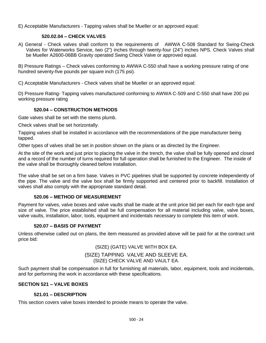E) Acceptable Manufacturers - Tapping valves shall be Mueller or an approved equal:

# **520.02.04 – CHECK VALVES**

A) General - Check valves shall conform to the requirements of AWWA C-508 Standard for Swing-Check Valves for Waterworks Service, two (2") inches through twenty-four (24") inches NPS. Check Valves shall be Mueller A2600-06BB Gravity operated Swing Check Valve or approved equal.

B) Pressure Ratings – Check valves conforming to AWWA C-550 shall have a working pressure rating of one hundred seventy-five pounds per square inch (175 psi).

C) Acceptable Manufacturers - Check valves shall be Mueller or an approved equal:

D) Pressure Rating- Tapping valves manufactured conforming to AWWA C-509 and C-550 shall have 200 psi working pressure rating

# **520.04 – CONSTRUCTION METHODS**

Gate valves shall be set with the stems plumb.

Check valves shall be set horizontally.

Tapping valves shall be installed in accordance with the recommendations of the pipe manufacturer being tapped.

Other types of valves shall be set in position shown on the plans or as directed by the Engineer.

At the site of the work and just prior to placing the valve in the trench, the valve shall be fully opened and closed and a record of the number of turns required for full operation shall be furnished to the Engineer. The inside of the valve shall be thoroughly cleaned before installation.

The valve shall be set on a firm base. Valves in PVC pipelines shall be supported by concrete independently of the pipe. The valve and the valve box shall be firmly supported and centered prior to backfill. Installation of valves shall also comply with the appropriate standard detail.

# **520.06 – METHOD OF MEASUREMENT**

Payment for valves, valve boxes and valve vaults shall be made at the unit price bid per each for each type and size of valve. The price established shall be full compensation for all material including valve, valve boxes, valve vaults, installation, labor, tools, equipment and incidentals necessary to complete this item of work.

# **520.07 – BASIS OF PAYMENT**

Unless otherwise called out on plans, the item measured as provided above will be paid for at the contract unit price bid:

(SIZE) (GATE) VALVE WITH BOX EA.

(SIZE) TAPPING VALVE AND SLEEVE EA. (SIZE) CHECK VALVE AND VAULT EA.

Such payment shall be compensation in full for furnishing all materials, labor, equipment, tools and incidentals, and for performing the work in accordance with these specifications.

# **SECTION 521 – VALVE BOXES**

# **521.01 – DESCRIPTION**

This section covers valve boxes intended to provide means to operate the valve.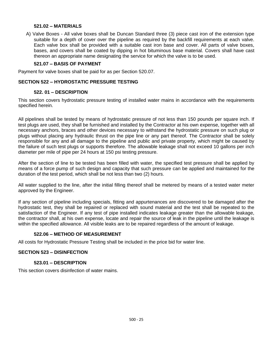## **521.02 – MATERIALS**

A) Valve Boxes - All valve boxes shall be Duncan Standard three (3) piece cast iron of the extension type suitable for a depth of cover over the pipeline as required by the backfill requirements at each valve. Each valve box shall be provided with a suitable cast iron base and cover. All parts of valve boxes, bases, and covers shall be coated by dipping in hot bituminous base material. Covers shall have cast thereon an appropriate name designating the service for which the valve is to be used.

# **521.07 – BASIS OF PAYMENT**

Payment for valve boxes shall be paid for as per Section 520.07.

#### **SECTION 522 – HYDROSTATIC PRESSURE TESTING**

#### **522. 01 – DESCRIPTION**

This section covers hydrostatic pressure testing of installed water mains in accordance with the requirements specified herein.

All pipelines shall be tested by means of hydrostatic pressure of not less than 150 pounds per square inch. If test plugs are used, they shall be furnished and installed by the Contractor at his own expense, together with all necessary anchors, braces and other devices necessary to withstand the hydrostatic pressure on such plug or plugs without placing any hydraulic thrust on the pipe line or any part thereof. The Contractor shall be solely responsible for any and all damage to the pipeline and public and private property, which might be caused by the failure of such test plugs or supports therefore. The allowable leakage shall not exceed 10 gallons per inch diameter per mile of pipe per 24 hours at 150 psi testing pressure.

After the section of line to be tested has been filled with water, the specified test pressure shall be applied by means of a force pump of such design and capacity that such pressure can be applied and maintained for the duration of the test period, which shall be not less than two (2) hours.

All water supplied to the line, after the initial filling thereof shall be metered by means of a tested water meter approved by the Engineer.

If any section of pipeline including specials, fitting and appurtenances are discovered to be damaged after the hydrostatic test, they shall be repaired or replaced with sound material and the test shall be repeated to the satisfaction of the Engineer. If any test of pipe installed indicates leakage greater than the allowable leakage, the contractor shall, at his own expense, locate and repair the source of leak in the pipeline until the leakage is within the specified allowance. All visible leaks are to be repaired regardless of the amount of leakage.

# **522.06 – METHOD OF MEASUREMENT**

All costs for Hydrostatic Pressure Testing shall be included in the price bid for water line.

#### **SECTION 523 – DISINFECTION**

#### **523.01 – DESCRIPTION**

This section covers disinfection of water mains.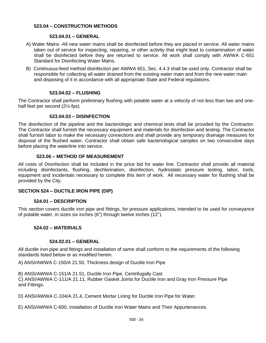# **523.04 – CONSTRUCTION METHODS**

# **523.04.01 – GENERAL**

- A) Water Mains -All new water mains shall be disinfected before they are placed in service. All water mains taken out of service for inspecting, repairing, or other activity that might lead to contamination of water shall be disinfected before they are returned to service. All work shall comply with AWWA C-651 Standard for Disinfecting Water Mains.
- B) Continuous-feed method disinfection per AWWA 651, Sec. 4.4.3 shall be used only. Contractor shall be responsible for collecting all water drained from the existing water main and from the new water main and disposing of it in accordance with all appropriate State and Federal regulations.

# **523.04.02 – FLUSHING**

The Contractor shall perform preliminary flushing with potable water at a velocity of not less than two and onehalf feet per second (2½-fps).

# **523.04.03 – DISINFECTION**

The disinfection of the pipeline and the bacteriologic and chemical tests shall be provided by the Contractor. The Contractor shall furnish the necessary equipment and materials for disinfection and testing. The Contractor shall furnish labor to make the necessary connections and shall provide any temporary drainage measures for disposal of the flushed water. Contractor shall obtain safe bacteriological samples on two consecutive days before placing the waterline into service.

# **523.06 – METHOD OF MEASUREMENT**

All costs of Disinfection shall be included in the price bid for water line. Contractor shall provide all material including disinfectants, flushing, dechlorination, disinfection, hydrostatic pressure testing, labor, tools, equipment and incidentals necessary to complete this item of work. All necessary water for flushing shall be provided by the City.

# **SECTION 524 – DUCTILE IRON PIPE (DIP)**

# **524.01 – DESCRIPTION**

This section covers ductile iron pipe and fittings, for pressure applications, intended to be used for conveyance of potable water, in sizes six inches (6") through twelve inches (12").

# **524.02 – MATERIALS**

# **524.02.01 – GENERAL**

All ductile iron pipe and fittings and installation of same shall conform to the requirements of the following standards listed below or as modified herein.

A) ANSI/AWWA C-150/A 21.50, Thickness design of Ductile Iron Pipe

B) ANSI/AWWA C-151/A 21.51, Ductile Iron Pipe, Centrifugally Cast

C) ANSI/AWWA C-111/A 21.11, Rubber Gasket Joints for Ductile Iron and Gray Iron Pressure Pipe and Fittings.

D) ANSI/AWWA C-104/A 21.4, Cement Mortar Lining for Ductile Iron Pipe for Water.

E) ANSI/AWWA C-600, Installation of Ductile Iron Water Mains and Their Appurtenances.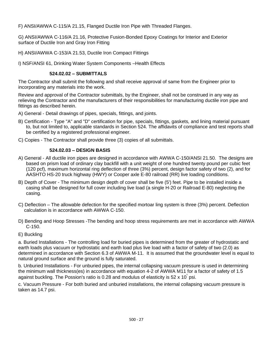F) ANSI/AWWA C-115/A 21.15, Flanged Ductile Iron Pipe with Threaded Flanges.

G) ANSI/AWWA C-116/A 21.16, Protective Fusion-Bonded Epoxy Coatings for Interior and Exterior surface of Ductile Iron and Gray Iron Fitting

H) ANSI/AWWA C-153/A 21.53, Ductile Iron Compact Fittings

I) NSF/ANSI 61, Drinking Water System Components –Health Effects

# **524.02.02 – SUBMITTALS**

The Contractor shall submit the following and shall receive approval of same from the Engineer prior to incorporating any materials into the work.

Review and approval of the Contractor submittals, by the Engineer, shall not be construed in any way as relieving the Contractor and the manufacturers of their responsibilities for manufacturing ductile iron pipe and fittings as described herein.

- A) General Detail drawings of pipes, specials, fittings, and joints.
- B) Certification Type "A" and "D" certification for pipe, specials, fittings, gaskets, and lining material pursuant to, but not limited to, applicable standards in Section 524. The affidavits of compliance and test reports shall be certified by a registered professional engineer.
- C) Copies The Contractor shall provide three (3) copies of all submittals.

# **524.02.03 – DESIGN BASIS**

- A) General All ductile iron pipes are designed in accordance with AWWA C-150/ANSI 21.50. The designs are based on prism load of ordinary clay backfill with a unit weight of one hundred twenty pound per cubic feet (120 pcf), maximum horizontal ring deflection of three (3%) percent, design factor safety of two (2), and for AASHTO HS-20 truck highway (HWY) or Cooper axle E-80 railroad (RR) live loading conditions.
- B) Depth of Cover The minimum design depth of cover shall be five (5') feet. Pipe to be installed inside a casing shall be designed for full cover including live load (a single H-20 or Railroad E-80) neglecting the casing.
- C) Deflection The allowable defection for the specified mortoar ling system is three (3%) percent. Deflection calculation is in accordance with AWWA C-150.
- D) Bending and Hoop Stresses -The bending and hoop stress requirements are met in accordance with AWWA C-150.
- E) Buckling

a. Buried Installations - The controlling load for buried pipes is determined from the greater of hydrostatic and earth loads plus vacuum or hydrostatic and earth load plus live load with a factor of safety of two (2.0) as determined in accordance with Section 6.3 of AWWA M-11. It is assumed that the groundwater level is equal to natural ground surface and the ground is fully saturated.

b. Unburied Installations - For unburied pipes, the internal collapsing vacuum pressure is used in determining the minimum wall thickness(es) in accordance with equation 4-2 of AWWA M11 for a factor of safety of 1.5 against buckling. The Possion's ratio is 0.28 and modulus of elasticity is 52 x 10 psi.

c. Vacuum Pressure - For both buried and unburied installations, the internal collapsing vacuum pressure is taken as 14.7 psi.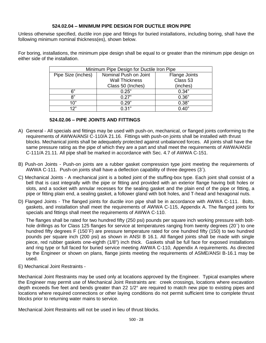# **524.02.04 – MINIMUM PIPE DESIGN FOR DUCTILE IRON PIPE**

Unless otherwise specified, ductile iron pipe and fittings for buried installations, including boring, shall have the following minimum nominal thickness(es), shown below.

For boring, installations, the minimum pipe design shall be equal to or greater than the minimum pipe design on either side of the installation.

| Minimum Pipe Design for Ductile Iron Pipe |                                   |                      |
|-------------------------------------------|-----------------------------------|----------------------|
| Pipe Size (inches)                        | Nominal Push on Joint             | <b>Flange Joints</b> |
|                                           | Class 53<br><b>Wall Thickness</b> |                      |
|                                           | Class 50 (Inches)                 | (inches)             |
| ิ ก"                                      | 0.25"                             | 0.34"                |
| 8"                                        | 0.27"                             | 0.36"                |
| 10"                                       | 0.29"                             | 0.38"                |
| 12"                                       | 0.31"                             | 0.40"                |

# **524.02.06 – PIPE JOINTS AND FITTINGS**

- A) General All specials and fittings may be used with push-on, mechanical, or flanged joints conforming to the requirements of AWWA/ANSI C-110/A 21.16. Fittings with push-on joints shall be installed with thrust blocks. Mechanical joints shall be adequately protected against unbalanced forces. All joints shall have the same pressure rating as the pipe of which they are a part and shall meet the requirements of AWWA/ANSI C-111/A 21.11. All pipe shall be marked in accordance with Sec. 4.7 of AWWA C-151.
- B) Push-on Joints Push-on joints are a rubber gasket compression type joint meeting the requirements of AWWA C-111. Push-on joints shall have a deflection capability of three degrees (3˚).
- C) Mechanical Joints A mechanical joint is a bolted joint of the stuffing-box type. Each joint shall consist of a bell that is cast integrally with the pipe or fitting and provided with an exterior flange having bolt holes or slots, and a socket with annular recesses for the sealing gasket and the plain end of the pipe or fitting, a pipe or fitting plain end, a sealing gasket, a follower gland with bolt holes, and T-head and hexagonal nuts.
- D) Flanged Joints The flanged joints for ductile iron pipe shall be in accordance with AWWA C-111. Bolts, gaskets, and installation shall meet the requirements of AWWA C-115, Appendix A. The flanged joints for specials and fittings shall meet the requirements of AWWA C-110.

The flanges shall be rated for two hundred fifty (250 psi) pounds per square inch working pressure with bolthole drillings as for Class 125 flanges for service at temperatures ranging from twenty degrees (20˚) to one hundred fifty degrees F (150˚F) are pressure temperature rated for one hundred fifty (150) to two hundred pounds per square inch (200 psi) as shown in ANSI B 16.1. All flanged joints shall be made with single piece, red rubber gaskets one-eighth (1/8") inch thick. Gaskets shall be full face for exposed installations and ring type or full faced for buried service meeting AWWA C-110, Appendix A requirements. As directed by the Engineer or shown on plans, flange joints meeting the requirements of ASME/ANSI B-16.1 may be used.

E) Mechanical Joint Restraints -

Mechanical Joint Restraints may be used only at locations approved by the Engineer. Typical examples where the Engineer may permit use of Mechanical Joint Restraints are: creek crossings, locations where excavation depth exceeds five feet and bends greater than 22 1/2° are required to match new pipe to existing pipes and locations where required connections or other laying conditions do not permit sufficient time to complete thrust blocks prior to returning water mains to service.

Mechanical Joint Restraints will not be used in lieu of thrust blocks.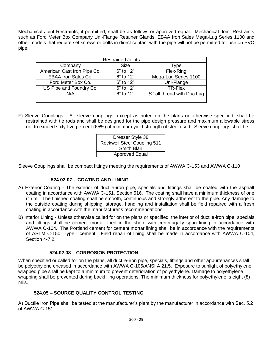Mechanical Joint Restraints, if permitted, shall be as follows or approved equal. Mechanical Joint Restraints such as Ford Meter Box Company Uni-Flange Retainer Glands, EBAA Iron Sales Mega-Lug Series 1100 and other models that require set screws or bolts in direct contact with the pipe will not be permitted for use on PVC pipe.

| <b>Restrained Joints</b>    |           |                                         |
|-----------------------------|-----------|-----------------------------------------|
| Company                     | Size      | Type                                    |
| American Cast Iron Pipe Co. | 6" to 12" | Flex-Ring                               |
| <b>EBAA Iron Sales Co.</b>  | 6" to 12" | Mega-Lug Series 1100                    |
| Ford Meter Box Co.          | 6" to 12" | Uni-Flange                              |
| US Pipe and Foundry Co.     | 6" to 12" | TR-Flex                                 |
| N/A                         | 6" to 12" | $\frac{3}{4}$ " all thread with Duc Lug |
|                             |           |                                         |

F) Sleeve Couplings - All sleeve couplings, except as noted on the plans or otherwise specified, shall be restrained with tie rods and shall be designed for the pipe design pressure and maximum allowable stress not to exceed sixty-five percent (65%) of minimum yield strength of steel used. Sleeve couplings shall be:

| Dresser Style 38                   |  |
|------------------------------------|--|
| <b>Rockwell Steel Coupling 511</b> |  |
| <b>Smith Blair</b>                 |  |
| <b>Approved Equal</b>              |  |

Sleeve Couplings shall be compact fittings meeting the requirements of AWWA C-153 and AWWA C-110

# **524.02.07 – COATING AND LINING**

- A) Exterior Coating The exterior of ductile-iron pipe, specials and fittings shall be coated with the asphalt coating in accordance with AWWA C-151, Section 516. The coating shall have a minimum thickness of one (1) mil. The finished coating shall be smooth, continuous and strongly adherent to the pipe. Any damage to the outside coating during shipping, storage, handling and installation shall be field repaired with a fresh coating in accordance with the manufacturer's recommendations.
- B) Interior Lining Unless otherwise called for on the plans or specified, the interior of ductile-iron pipe, specials and fittings shall be cement mortar lined in the shop, with centrifugally spun lining in accordance with AWWA C-104. The Portland cement for cement mortar lining shall be in accordance with the requirements of ASTM C-150, Type I cement. Field repair of lining shall be made in accordance with AWWA C-104, Section 4-7.2.

# **524.02.08 – CORROSION PROTECTION**

When specified or called for on the plans, all ductile-iron pipe, specials, fittings and other appurtenances shall be polyethylene encased in accordance with AWWA C-105/ANSI A 21.5. Exposure to sunlight of polyethylene wrapped pipe shall be kept to a minimum to prevent deterioration of polyethylene. Damage to polyethylene wrapping shall be prevented during backfilling operations. The minimum thickness for polyethylene is eight (8) mils.

# **524.05 – SOURCE QUALITY CONTROL TESTING**

A) Ductile Iron Pipe shall be tested at the manufacturer's plant by the manufacturer in accordance with Sec. 5.2 of AWWA C-151.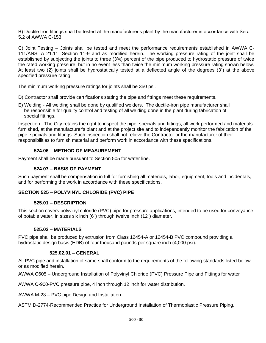B) Ductile Iron fittings shall be tested at the manufacturer's plant by the manufacturer in accordance with Sec. 5.2 of AWWA C-153.

C) Joint Testing – Joints shall be tested and meet the performance requirements established in AWWA C-111/ANSI A 21.11, Section 11-9 and as modified herein. The working pressure rating of the joint shall be established by subjecting the joints to three (3%) percent of the pipe produced to hydrostatic pressure of twice the rated working pressure, but in no event less than twice the minimum working pressure rating shown below. At least two (2) joints shall be hydrostatically tested at a deflected angle of the degrees (3˚) at the above specified pressure rating.

The minimum working pressure ratings for joints shall be 350 psi.

D) Contractor shall provide certifications stating the pipe and fittings meet these requirements.

E) Welding - All welding shall be done by qualified welders. The ductile-iron pipe manufacturer shall be responsible for quality control and testing of all welding done in the plant during fabrication of special fittings.

Inspection - The City retains the right to inspect the pipe, specials and fittings, all work performed and materials furnished, at the manufacturer's plant and at the project site and to independently monitor the fabrication of the pipe, specials and fittings. Such inspection shall not relieve the Contractor or the manufacturer of their responsibilities to furnish material and perform work in accordance with these specifications.

# **524.06 – METHOD OF MEASUREMENT**

Payment shall be made pursuant to Section 505 for water line.

# **524.07 – BASIS OF PAYMENT**

Such payment shall be compensation in full for furnishing all materials, labor, equipment, tools and incidentals, and for performing the work in accordance with these specifications.

# **SECTION 525 – POLYVINYL CHLORIDE (PVC) PIPE**

# **525.01 – DESCRIPTION**

This section covers polyvinyl chloride (PVC) pipe for pressure applications, intended to be used for conveyance of potable water, in sizes six inch (6") through twelve inch (12") diameter.

# **525.02 – MATERIALS**

PVC pipe shall be produced by extrusion from Class 12454-A or 12454-B PVC compound providing a hydrostatic design basis (HDB) of four thousand pounds per square inch (4,000 psi).

# **525.02.01 – GENERAL**

All PVC pipe and installation of same shall conform to the requirements of the following standards listed below or as modified herein.

AWWA C605 – Underground Installation of Polyvinyl Chloride (PVC) Pressure Pipe and Fittings for water

AWWA C-900-PVC pressure pipe, 4 inch through 12 inch for water distribution.

AWWA M-23 – PVC pipe Design and Installation.

ASTM D-2774-Recommended Practice for Underground Installation of Thermoplastic Pressure Piping.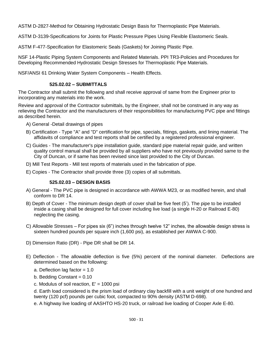ASTM D-2827-Method for Obtaining Hydrostatic Design Basis for Thermoplastic Pipe Materials.

ASTM D-3139-Specifications for Joints for Plastic Pressure Pipes Using Flexible Elastomeric Seals.

ASTM F-477-Specification for Elastomeric Seals (Gaskets) for Joining Plastic Pipe.

NSF 14-Plastic Piping System Components and Related Materials. PPI TR3-Policies and Procedures for Developing Recommended Hydrostatic Design Stresses for Thermoplastic Pipe Materials.

NSF/ANSI 61 Drinking Water System Components – Health Effects.

# **525.02.02 – SUBMITTALS**

The Contractor shall submit the following and shall receive approval of same from the Engineer prior to incorporating any materials into the work.

Review and approval of the Contractor submittals, by the Engineer, shall not be construed in any way as relieving the Contractor and the manufacturers of their responsibilities for manufacturing PVC pipe and fittings as described herein.

- A) General -Detail drawings of pipes
- B) Certification Type "A" and "D" certification for pipe, specials, fittings, gaskets, and lining material. The affidavits of compliance and test reports shall be certified by a registered professional engineer.
- C) Guides The manufacturer's pipe installation guide, standard pipe material repair guide, and written quality control manual shall be provided by all suppliers who have not previously provided same to the City of Duncan, or if same has been revised since last provided to the City of Duncan.
- D) Mill Test Reports Mill test reports of materials used in the fabrication of pipe.
- E) Copies The Contractor shall provide three (3) copies of all submittals.

# **525.02.03 – DESIGN BASIS**

- A) General The PVC pipe is designed in accordance with AWWA M23, or as modified herein, and shall conform to DR 14.
- B) Depth of Cover The minimum design depth of cover shall be five feet (5'). The pipe to be installed inside a casing shall be designed for full cover including live load (a single H-20 or Railroad E-80) neglecting the casing.
- C) Allowable Stresses For pipes six (6") inches through twelve 12" inches, the allowable design stress is sixteen hundred pounds per square inch (1,600 psi), as established per AWWA C-900.
- D) Dimension Ratio (DR) Pipe DR shall be DR 14.
- E) Deflection The allowable deflection is five (5%) percent of the nominal diameter. Deflections are determined based on the following:
	- a. Deflection lag factor  $= 1.0$
	- b. Bedding Constant  $= 0.10$
	- c. Modulus of soil reaction,  $E' = 1000$  psi

d. Earth load considered is the prism load of ordinary clay backfill with a unit weight of one hundred and twenty (120 pcf) pounds per cubic foot, compacted to 90% density (ASTM D-698).

e. A highway live loading of AASHTO HS-20 truck, or railroad live loading of Cooper Axle E-80.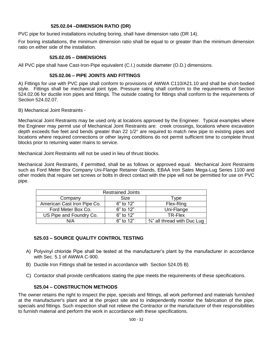# **525.02.04 –DIMENSION RATIO (DR)**

PVC pipe for buried installations including boring, shall have dimension ratio (DR 14).

For boring installations, the minimum dimension ratio shall be equal to or greater than the minimum dimension ratio on either side of the installation.

#### **525.02.05 – DIMENSIONS**

All PVC pipe shall have Cast-Iron-Pipe equivalent (C.I.) outside diameter (O.D.) dimensions.

#### **525.02.06 – PIPE JOINTS AND FITTINGS**

A) Fittings for use with PVC pipe shall conform to provisions of AWWA C110/A21.10 and shall be short-bodied style. Fittings shall be mechanical joint type. Pressure rating shall conform to the requirements of Section 524.02.06 for ductile iron pipes and fittings. The outside coating for fittings shall conform to the requirements of Section 524.02.07.

B) Mechanical Joint Restraints -

Mechanical Joint Restraints may be used only at locations approved by the Engineer. Typical examples where the Engineer may permit use of Mechanical Joint Restraints are: creek crossings, locations where excavation depth exceeds five feet and bends greater than 22 1/2° are required to match new pipe to existing pipes and locations where required connections or other laying conditions do not permit sufficient time to complete thrust blocks prior to returning water mains to service.

Mechanical Joint Restraints will not be used in lieu of thrust blocks.

Mechanical Joint Restraints, if permitted, shall be as follows or approved equal. Mechanical Joint Restraints such as Ford Meter Box Company Uni-Flange Retainer Glands, EBAA Iron Sales Mega-Lug Series 1100 and other models that require set screws or bolts in direct contact with the pipe will not be permitted for use on PVC pipe.

| <b>Restrained Joints</b>    |           |                              |
|-----------------------------|-----------|------------------------------|
| Company                     | Size      | Type                         |
| American Cast Iron Pipe Co. | 6" to 12" | Flex-Ring                    |
| Ford Meter Box Co.          | 6" to 12" | Uni-Flange                   |
| US Pipe and Foundry Co.     | 6" to 12" | TR-Flex                      |
| N/A                         | 6" to 12" | 3/4" all thread with Duc Lug |

# **525.03 – SOURCE QUALITY CONTROL TESTING**

- A) Polyvinyl chloride Pipe shall be tested at the manufacturer's plant by the manufacturer in accordance with Sec. 5.1 of AWWA C-900.
- B) Ductile Iron Fittings shall be tested in accordance with Section 524.05 B)
- C) Contactor shall provide certifications stating the pipe meets the requirements of these specifications.

# **525.04 – CONSTRUCTION METHODS**

The owner retains the right to inspect the pipe, specials and fittings, all work performed and materials furnished at the manufacturer's plant and at the project site and to independently monitor the fabrication of the pipe, specials and fittings. Such inspection shall not relieve the Contractor or the manufacturer of their responsibilities to furnish material and perform the work in accordance with these specifications.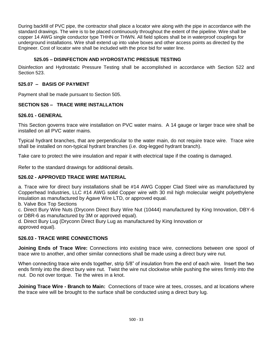During backfill of PVC pipe, the contractor shall place a locator wire along with the pipe in accordance with the standard drawings. The wire is to be placed continuously throughout the extent of the pipeline. Wire shall be copper 14 AWG single conductor type THHN or THWN. All field splices shall be in waterproof couplings for underground installations. Wire shall extend up into valve boxes and other access points as directed by the Engineer. Cost of locator wire shall be included with the price bid for water line.

# **525.05 – DISINFECTION AND HYDROSTATIC PRESSUE TESTING**

Disinfection and Hydrostatic Pressure Testing shall be accomplished in accordance with Section 522 and Section 523.

# **525.07 – BASIS OF PAYMENT**

Payment shall be made pursuant to Section 505.

# **SECTION 526 – TRACE WIRE INSTALLATION**

# **526.01 - GENERAL**

This Section governs trace wire installation on PVC water mains. A 14 gauge or larger trace wire shall be installed on all PVC water mains.

Typical hydrant branches, that are perpendicular to the water main, do not require trace wire. Trace wire shall be installed on non-typical hydrant branches (i.e. dog-legged hydrant branch).

Take care to protect the wire insulation and repair it with electrical tape if the coating is damaged.

Refer to the standard drawings for additional details.

# **526.02 - APPROVED TRACE WIRE MATERIAL**

a. Trace wire for direct bury installations shall be #14 AWG Copper Clad Steel wire as manufactured by Copperhead Industries, LLC #14 AWG solid Copper wire with 30 mil high molecular weight polyethylene insulation as manufactured by Agave Wire LTD, or approved equal.

b. Valve Box Top Sections

c. Direct Bury Wire Nuts (Dryconn Direct Bury Wire Nut (10444) manufactured by King Innovation, DBY-6 or DBR-6 as manufactured by 3M or approved equal).

d. Direct Bury Lug (Dryconn Direct Bury Lug as manufactured by King Innovation or approved equal).

# **526.03 - TRACE WIRE CONNECTIONS**

**Joining Ends of Trace Wire:** Connections into existing trace wire, connections between one spool of trace wire to another, and other similar connections shall be made using a direct bury wire nut.

When connecting trace wire ends together, strip 5/8" of insulation from the end of each wire. Insert the two ends firmly into the direct bury wire nut. Twist the wire nut clockwise while pushing the wires firmly into the nut. Do not over torque. Tie the wires in a knot.

**Joining Trace Wire - Branch to Main:** Connections of trace wire at tees, crosses, and at locations where the trace wire will be brought to the surface shall be conducted using a direct bury lug.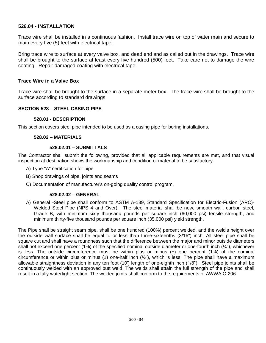# **526.04 - INSTALLATION**

Trace wire shall be installed in a continuous fashion. Install trace wire on top of water main and secure to main every five (5) feet with electrical tape.

Bring trace wire to surface at every valve box, and dead end and as called out in the drawings. Trace wire shall be brought to the surface at least every five hundred (500) feet. Take care not to damage the wire coating. Repair damaged coating with electrical tape.

# **Trace Wire in a Valve Box**

Trace wire shall be brought to the surface in a separate meter box. The trace wire shall be brought to the surface according to standard drawings.

# **SECTION 528 – STEEL CASING PIPE**

#### **528.01 - DESCRIPTION**

This section covers steel pipe intended to be used as a casing pipe for boring installations.

#### **528.02 – MATERIALS**

#### **528.02.01 – SUBMITTALS**

The Contractor shall submit the following, provided that all applicable requirements are met, and that visual inspection at destination shows the workmanship and condition of material to be satisfactory.

- A) Type "A" certification for pipe
- B) Shop drawings of pipe, joints and seams
- C) Documentation of manufacturer's on-going quality control program.

#### **528.02.02 – GENERAL**

A) General -Steel pipe shall conform to ASTM A-139, Standard Specification for Electric-Fusion (ARC)- Welded Steel Pipe (NPS 4 and Over). The steel material shall be new, smooth wall, carbon steel, Grade B, with minimum sixty thousand pounds per square inch (60,000 psi) tensile strength, and minimum thirty-five thousand pounds per square inch (35,000 psi) yield strength.

The Pipe shall be straight seam pipe, shall be one hundred (100%) percent welded, and the weld's height over the outside wall surface shall be equal to or less than three-sixteenths (3/16") inch. All steel pipe shall be square cut and shall have a roundness such that the difference between the major and minor outside diameters shall not exceed one percent (1%) of the specified nominal outside diameter or one-fourth inch (¼"), whichever is less. The outside circumference must be within plus or minus  $(\pm)$  one percent (1%) of the nominal circumference or within plus or minus  $(\pm)$  one-half inch  $(\frac{1}{2})$ , which is less. The pipe shall have a maximum allowable straightness deviation in any ten foot (10') length of one-eighth inch (1/8"). Steel pipe joints shall be continuously welded with an approved butt weld. The welds shall attain the full strength of the pipe and shall result in a fully watertight section. The welded joints shall conform to the requirements of AWWA C-206.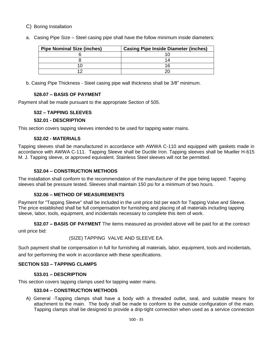- C) Boring Installation
- a. Casing Pipe Size Steel casing pipe shall have the follow minimum inside diameters:

| <b>Pipe Nominal Size (inches)</b> | <b>Casing Pipe Inside Diameter (inches)</b> |
|-----------------------------------|---------------------------------------------|
|                                   |                                             |
|                                   |                                             |
|                                   |                                             |
|                                   |                                             |

b. Casing Pipe Thickness - Steel casing pipe wall thickness shall be 3/8" minimum.

# **528.07 – BASIS OF PAYMENT**

Payment shall be made pursuant to the appropriate Section of 505.

# **532 – TAPPING SLEEVES**

# **532.01 - DESCRIPTION**

This section covers tapping sleeves intended to be used for tapping water mains.

# **532.02 - MATERIALS**

Tapping sleeves shall be manufactured in accordance with AWWA C-110 and equipped with gaskets made in accordance with AWWA C-111. Tapping Sleeve shall be Ductile Iron. Tapping sleeves shall be Mueller H-615 M. J. Tapping sleeve, or approved equivalent. Stainless Steel sleeves will not be permitted.

# **532.04 – CONSTRUCTION METHODS**

The installation shall conform to the recommendation of the manufacturer of the pipe being tapped. Tapping sleeves shall be pressure tested. Sleeves shall maintain 150 psi for a minimum of two hours.

# **532.06 – METHOD OF MEASUREMENTS**

Payment for "Tapping Sleeve" shall be included in the unit price bid per each for Tapping Valve and Sleeve. The price established shall be full compensation for furnishing and placing of all materials including tapping sleeve, labor, tools, equipment, and incidentals necessary to complete this item of work.

**532.07 – BASIS OF PAYMENT** The items measured as provided above will be paid for at the contract unit price bid:

(SIZE) TAPPING VALVE AND SLEEVE EA.

Such payment shall be compensation in full for furnishing all materials, labor, equipment, tools and incidentals, and for performing the work in accordance with these specifications.

# **SECTION 533 – TAPPING CLAMPS**

# **533.01 – DESCRIPTION**

This section covers tapping clamps used for tapping water mains.

# **533.04 – CONSTRUCTION METHODS**

A) General -Tapping clamps shall have a body with a threaded outlet, seal, and suitable means for attachment to the main. The body shall be made to conform to the outside configuration of the main. Tapping clamps shall be designed to provide a drip-tight connection when used as a service connection